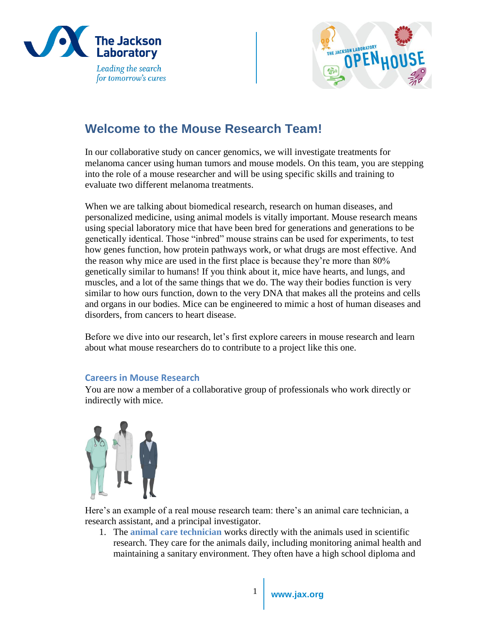



# **Welcome to the Mouse Research Team!**

In our collaborative study on cancer genomics, we will investigate treatments for melanoma cancer using human tumors and mouse models. On this team, you are stepping into the role of a mouse researcher and will be using specific skills and training to evaluate two different melanoma treatments.

When we are talking about biomedical research, research on human diseases, and personalized medicine, using animal models is vitally important. Mouse research means using special laboratory mice that have been bred for generations and generations to be genetically identical. Those "inbred" mouse strains can be used for experiments, to test how genes function, how protein pathways work, or what drugs are most effective. And the reason why mice are used in the first place is because they're more than 80% genetically similar to humans! If you think about it, mice have hearts, and lungs, and muscles, and a lot of the same things that we do. The way their bodies function is very similar to how ours function, down to the very DNA that makes all the proteins and cells and organs in our bodies. Mice can be engineered to mimic a host of human diseases and disorders, from cancers to heart disease.

Before we dive into our research, let's first explore careers in mouse research and learn about what mouse researchers do to contribute to a project like this one.

## **Careers in Mouse Research**

You are now a member of a collaborative group of professionals who work directly or indirectly with mice.



Here's an example of a real mouse research team: there's an animal care technician, a research assistant, and a principal investigator.

1. The **animal care technician** works directly with the animals used in scientific research. They care for the animals daily, including monitoring animal health and maintaining a sanitary environment. They often have a high school diploma and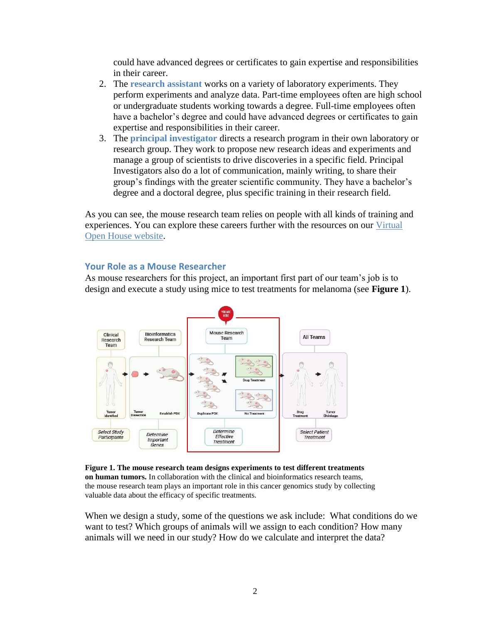could have advanced degrees or certificates to gain expertise and responsibilities in their career.

- 2. The **research assistant** works on a variety of laboratory experiments. They perform experiments and analyze data. Part-time employees often are high school or undergraduate students working towards a degree. Full-time employees often have a bachelor's degree and could have advanced degrees or certificates to gain expertise and responsibilities in their career.
- 3. The **principal investigator** directs a research program in their own laboratory or research group. They work to propose new research ideas and experiments and manage a group of scientists to drive discoveries in a specific field. Principal Investigators also do a lot of communication, mainly writing, to share their group's findings with the greater scientific community. They have a bachelor's degree and a doctoral degree, plus specific training in their research field.

As you can see, the mouse research team relies on people with all kinds of training and experiences. You can explore these careers further with the resources on our [Virtual](https://www.jax.org/education-and-learning/high-school-students-and-undergraduates/virtual-open-house/career-exploration)  [Open House website.](https://www.jax.org/education-and-learning/high-school-students-and-undergraduates/virtual-open-house/career-exploration)

#### **Your Role as a Mouse Researcher**

As mouse researchers for this project, an important first part of our team's job is to design and execute a study using mice to test treatments for melanoma (see **Figure 1**).



**Figure 1. The mouse research team designs experiments to test different treatments on human tumors.** In collaboration with the clinical and bioinformatics research teams, the mouse research team plays an important role in this cancer genomics study by collecting valuable data about the efficacy of specific treatments.

When we design a study, some of the questions we ask include: What conditions do we want to test? Which groups of animals will we assign to each condition? How many animals will we need in our study? How do we calculate and interpret the data?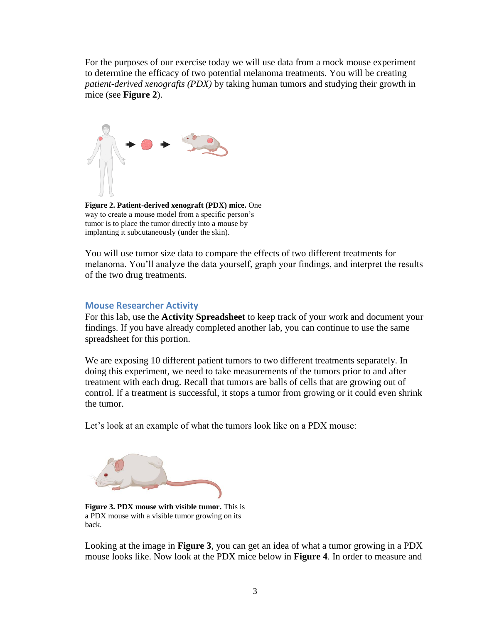For the purposes of our exercise today we will use data from a mock mouse experiment to determine the efficacy of two potential melanoma treatments. You will be creating *patient-derived xenografts (PDX)* by taking human tumors and studying their growth in mice (see **Figure 2**).



**Figure 2. Patient-derived xenograft (PDX) mice.** One way to create a mouse model from a specific person's tumor is to place the tumor directly into a mouse by implanting it subcutaneously (under the skin).

You will use tumor size data to compare the effects of two different treatments for melanoma. You'll analyze the data yourself, graph your findings, and interpret the results of the two drug treatments.

## **Mouse Researcher Activity**

For this lab, use the **Activity Spreadsheet** to keep track of your work and document your findings. If you have already completed another lab, you can continue to use the same spreadsheet for this portion.

We are exposing 10 different patient tumors to two different treatments separately. In doing this experiment, we need to take measurements of the tumors prior to and after treatment with each drug. Recall that tumors are balls of cells that are growing out of control. If a treatment is successful, it stops a tumor from growing or it could even shrink the tumor.

Let's look at an example of what the tumors look like on a PDX mouse:



**Figure 3. PDX mouse with visible tumor.** This is a PDX mouse with a visible tumor growing on its back.

Looking at the image in **Figure 3**, you can get an idea of what a tumor growing in a PDX mouse looks like. Now look at the PDX mice below in **Figure 4**. In order to measure and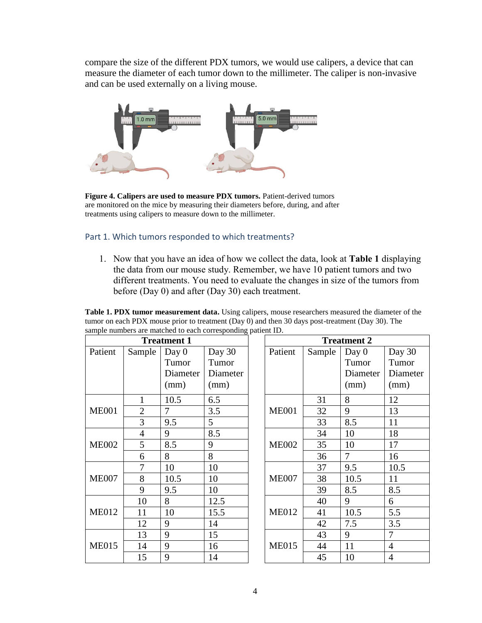compare the size of the different PDX tumors, we would use calipers, a device that can measure the diameter of each tumor down to the millimeter. The caliper is non-invasive and can be used externally on a living mouse.



**Figure 4. Calipers are used to measure PDX tumors.** Patient-derived tumors are monitored on the mice by measuring their diameters before, during, and after treatments using calipers to measure down to the millimeter.

## Part 1. Which tumors responded to which treatments?

1. Now that you have an idea of how we collect the data, look at **Table 1** displaying the data from our mouse study. Remember, we have 10 patient tumors and two different treatments. You need to evaluate the changes in size of the tumors from before (Day 0) and after (Day 30) each treatment.

| sample numbers are materied to each corresponding patient ID.<br><b>Treatment 1</b> |                |                  |                  |              | <b>Treatment 2</b> |        |                  |                  |
|-------------------------------------------------------------------------------------|----------------|------------------|------------------|--------------|--------------------|--------|------------------|------------------|
| Patient                                                                             | Sample         | Day 0<br>Tumor   | Day 30<br>Tumor  |              | Patient            | Sample | Day 0<br>Tumor   | Day 30<br>Tumor  |
|                                                                                     |                | Diameter<br>(mm) | Diameter<br>(mm) |              |                    |        | Diameter<br>(mm) | Diameter<br>(mm) |
| <b>ME001</b>                                                                        | 1              | 10.5             | 6.5              |              | <b>ME001</b>       | 31     | 8                | 12               |
|                                                                                     | $\overline{2}$ | 7                | 3.5              |              |                    | 32     | 9                | 13               |
|                                                                                     | 3              | 9.5              | 5                |              |                    | 33     | 8.5              | 11               |
| <b>ME002</b>                                                                        | $\overline{4}$ | 9                | 8.5              |              | <b>ME002</b>       | 34     | 10               | 18               |
|                                                                                     | 5              | 8.5              | 9                |              |                    | 35     | 10               | 17               |
|                                                                                     | 6              | 8                | 8                |              |                    | 36     | $\overline{7}$   | 16               |
| <b>ME007</b>                                                                        | 7              | 10               | 10               |              | <b>ME007</b>       | 37     | 9.5              | 10.5             |
|                                                                                     | 8              | 10.5             | 10               |              |                    | 38     | 10.5             | 11               |
|                                                                                     | 9              | 9.5              | 10               |              |                    | 39     | 8.5              | 8.5              |
| <b>ME012</b>                                                                        | 10             | 8                | 12.5             | <b>ME012</b> | 40                 | 9      | 6                |                  |
|                                                                                     | 11             | 10               | 15.5             |              | 41                 | 10.5   | 5.5              |                  |
|                                                                                     | 12             | 9                | 14               |              | 42                 | 7.5    | 3.5              |                  |
| <b>ME015</b>                                                                        | 13             | 9                | 15               | <b>ME015</b> | 43                 | 9      | $\overline{7}$   |                  |
|                                                                                     | 14             | 9                | 16               |              | 44                 | 11     | $\overline{4}$   |                  |
|                                                                                     | 15             | 9                | 14               |              | 45                 | 10     | $\overline{4}$   |                  |

**Table 1. PDX tumor measurement data.** Using calipers, mouse researchers measured the diameter of the tumor on each PDX mouse prior to treatment (Day 0) and then 30 days post-treatment (Day 30). The sample numbers are matched to each corresponding patient ID.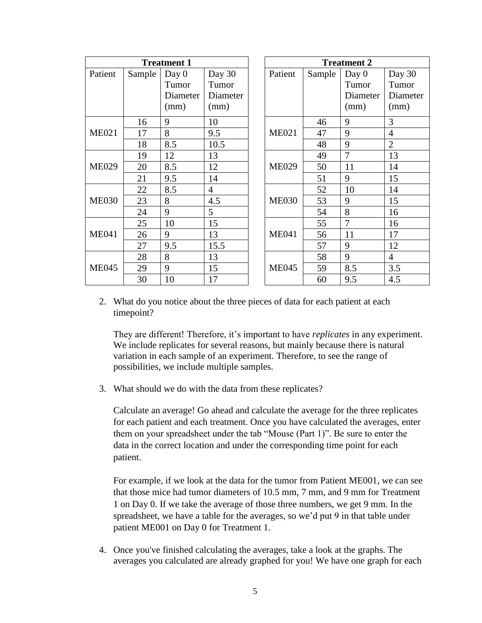| <b>Treatment 1</b> |        |          |                |              | <b>Treatment 2</b> |                |                |                |
|--------------------|--------|----------|----------------|--------------|--------------------|----------------|----------------|----------------|
| Patient            | Sample | Day $0$  | Day 30         |              | Patient            | Sample         | Day $0$        | Day 30         |
|                    |        | Tumor    | Tumor          |              |                    |                | Tumor          | Tumor          |
|                    |        | Diameter | Diameter       |              |                    |                | Diameter       | Diameter       |
|                    |        | (mm)     | (mm)           |              |                    |                | (mm)           | (mm)           |
| <b>ME021</b>       | 16     | 9        | 10             |              | <b>ME021</b>       | 46             | 9              | 3              |
|                    | 17     | 8        | 9.5            |              |                    | 47             | 9              | $\overline{4}$ |
|                    | 18     | 8.5      | 10.5           |              |                    | 48             | 9              | $\overline{2}$ |
| <b>ME029</b>       | 19     | 12       | 13             |              | <b>ME029</b>       | 49             | $\overline{7}$ | 13             |
|                    | 20     | 8.5      | 12             |              |                    | 50             | 11             | 14             |
|                    | 21     | 9.5      | 14             |              |                    | 51             | 9              | 15             |
| <b>ME030</b>       | 22     | 8.5      | $\overline{4}$ |              | <b>ME030</b>       | 52             | 10             | 14             |
|                    | 23     | 8        | 4.5            |              |                    | 53             | 9              | 15             |
|                    | 24     | 9        | 5              |              |                    | 54             | 8              | 16             |
| <b>ME041</b>       | 25     | 10       | 15             | <b>ME041</b> | 55                 | $\overline{7}$ | 16             |                |
|                    | 26     | 9        | 13             |              | 56                 | 11             | 17             |                |
|                    | 27     | 9.5      | 15.5           |              | 57                 | 9              | 12             |                |
| <b>ME045</b>       | 28     | 8        | 13             | <b>ME045</b> | 58                 | 9              | $\overline{4}$ |                |
|                    | 29     | 9        | 15             |              | 59                 | 8.5            | 3.5            |                |
|                    | 30     | 10       | 17             |              | 60                 | 9.5            | 4.5            |                |

2. What do you notice about the three pieces of data for each patient at each timepoint?

They are different! Therefore, it's important to have *replicates* in any experiment. We include replicates for several reasons, but mainly because there is natural variation in each sample of an experiment. Therefore, to see the range of possibilities, we include multiple samples.

3. What should we do with the data from these replicates?

Calculate an average! Go ahead and calculate the average for the three replicates for each patient and each treatment. Once you have calculated the averages, enter them on your spreadsheet under the tab "Mouse (Part 1)". Be sure to enter the data in the correct location and under the corresponding time point for each patient.

For example, if we look at the data for the tumor from Patient ME001, we can see that those mice had tumor diameters of 10.5 mm, 7 mm, and 9 mm for Treatment 1 on Day 0. If we take the average of those three numbers, we get 9 mm. In the spreadsheet, we have a table for the averages, so we'd put 9 in that table under patient ME001 on Day 0 for Treatment 1.

4. Once you've finished calculating the averages, take a look at the graphs. The averages you calculated are already graphed for you! We have one graph for each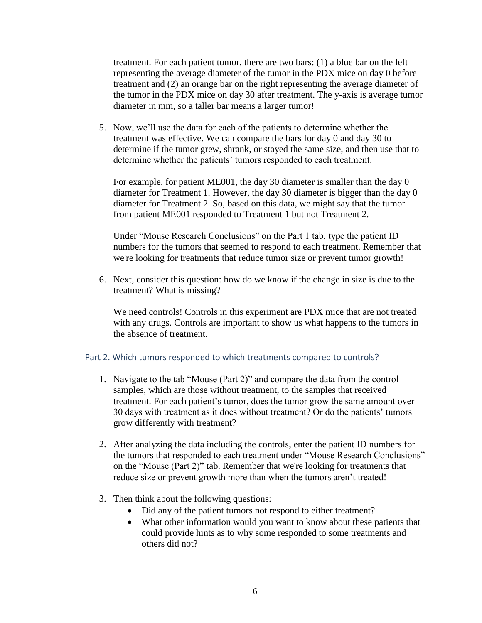treatment. For each patient tumor, there are two bars: (1) a blue bar on the left representing the average diameter of the tumor in the PDX mice on day 0 before treatment and (2) an orange bar on the right representing the average diameter of the tumor in the PDX mice on day 30 after treatment. The y-axis is average tumor diameter in mm, so a taller bar means a larger tumor!

5. Now, we'll use the data for each of the patients to determine whether the treatment was effective. We can compare the bars for day 0 and day 30 to determine if the tumor grew, shrank, or stayed the same size, and then use that to determine whether the patients' tumors responded to each treatment.

For example, for patient ME001, the day 30 diameter is smaller than the day 0 diameter for Treatment 1. However, the day 30 diameter is bigger than the day 0 diameter for Treatment 2. So, based on this data, we might say that the tumor from patient ME001 responded to Treatment 1 but not Treatment 2.

Under "Mouse Research Conclusions" on the Part 1 tab, type the patient ID numbers for the tumors that seemed to respond to each treatment. Remember that we're looking for treatments that reduce tumor size or prevent tumor growth!

6. Next, consider this question: how do we know if the change in size is due to the treatment? What is missing?

We need controls! Controls in this experiment are PDX mice that are not treated with any drugs. Controls are important to show us what happens to the tumors in the absence of treatment.

#### Part 2. Which tumors responded to which treatments compared to controls?

- 1. Navigate to the tab "Mouse (Part 2)" and compare the data from the control samples, which are those without treatment, to the samples that received treatment. For each patient's tumor, does the tumor grow the same amount over 30 days with treatment as it does without treatment? Or do the patients' tumors grow differently with treatment?
- 2. After analyzing the data including the controls, enter the patient ID numbers for the tumors that responded to each treatment under "Mouse Research Conclusions" on the "Mouse (Part 2)" tab. Remember that we're looking for treatments that reduce size or prevent growth more than when the tumors aren't treated!
- 3. Then think about the following questions:
	- Did any of the patient tumors not respond to either treatment?
	- What other information would you want to know about these patients that could provide hints as to why some responded to some treatments and others did not?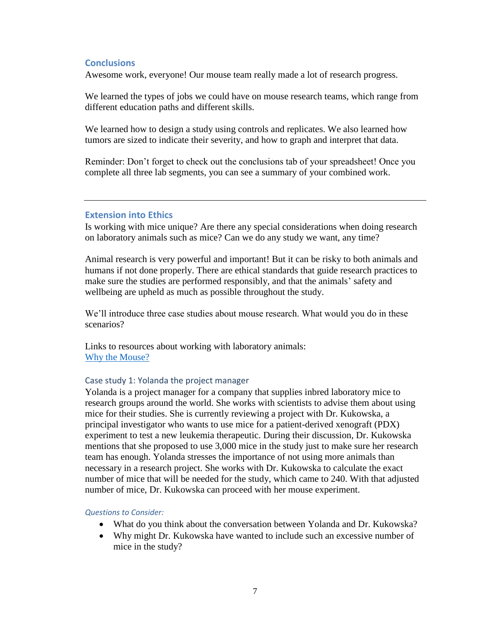## **Conclusions**

Awesome work, everyone! Our mouse team really made a lot of research progress.

We learned the types of jobs we could have on mouse research teams, which range from different education paths and different skills.

We learned how to design a study using controls and replicates. We also learned how tumors are sized to indicate their severity, and how to graph and interpret that data.

Reminder: Don't forget to check out the conclusions tab of your spreadsheet! Once you complete all three lab segments, you can see a summary of your combined work.

### **Extension into Ethics**

Is working with mice unique? Are there any special considerations when doing research on laboratory animals such as mice? Can we do any study we want, any time?

Animal research is very powerful and important! But it can be risky to both animals and humans if not done properly. There are ethical standards that guide research practices to make sure the studies are performed responsibly, and that the animals' safety and wellbeing are upheld as much as possible throughout the study.

We'll introduce three case studies about mouse research. What would you do in these scenarios?

Links to resources about working with laboratory animals: [Why the Mouse?](https://www.jax.org/why-the-mouse)

#### Case study 1: Yolanda the project manager

Yolanda is a project manager for a company that supplies inbred laboratory mice to research groups around the world. She works with scientists to advise them about using mice for their studies. She is currently reviewing a project with Dr. Kukowska, a principal investigator who wants to use mice for a patient-derived xenograft (PDX) experiment to test a new leukemia therapeutic. During their discussion, Dr. Kukowska mentions that she proposed to use 3,000 mice in the study just to make sure her research team has enough. Yolanda stresses the importance of not using more animals than necessary in a research project. She works with Dr. Kukowska to calculate the exact number of mice that will be needed for the study, which came to 240. With that adjusted number of mice, Dr. Kukowska can proceed with her mouse experiment.

#### *Questions to Consider:*

- What do you think about the conversation between Yolanda and Dr. Kukowska?
- Why might Dr. Kukowska have wanted to include such an excessive number of mice in the study?